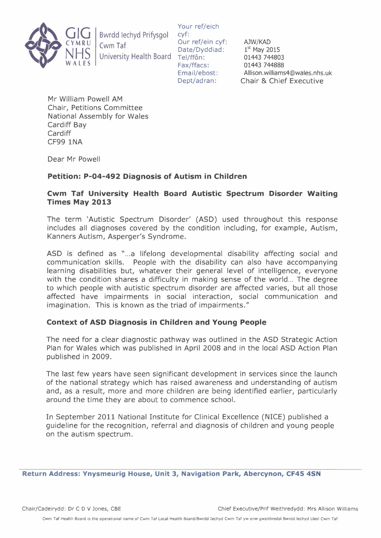

Bwrdd lechyd Pritysgol Cwm Tat University Health Board

Your ref/eich cyf: Our ref/ein cyf: Date/Dyddiad: Tel/ffôn: Fax/ffacs: Email/ebost: Dept/adran:

AJW/KAD  $1<sup>st</sup>$  May 2015 01443 744803 01443 744888 Allison.williams4@wales.nhs.uk Chair & Chief Executive

Mr William Powell AM Chair, Petitions Committee National Assembly for Wales Cardiff Bay Cardiff CF99 1NA

Dear Mr Powell

## **Petition: P-04-492 Diagnosis of Autism in Children**

## **Cwm Taf University Health Board Autistic Spectrum Disorder Waiting Times May 2013**

The term 'Autistic Spectrum Disorder' (ASD) used throughout this response includes all diagnoses covered by the condition including, for example, Autism, Kanners Autism, Asperger's Syndrome.

ASD is defined as "...a lifelong developmental disability affecting social and communication skills. People with the disability can also have accompanying learning disabilities but, whatever their general level of intelligence, everyone with the condition shares a difficulty in making sense of the world... The degree to which people with autistic spectrum disorder are affected varies, but all those affected have impairments in social interaction, social communication and imagination. This is known as the triad of impairments."

## **Context of ASO Diagnosis in Children and Young People**

The need for a clear diagnostic pathway was outlined in the ASD Strategic Action Plan for Wales which was published in April 2008 and in the local ASD Action Plan published in 2009.

The last few years have seen significant development in services since the launch of the national strategy which has raised awareness and understanding of autism and, as a result, more and more children are being identified earlier, particularly around the time they are about to commence school.

In September 2011 National Institute for Clinical Excellence (NICE) published a guideline for the recognition, referral and diagnosis of children and young people on the autism spectrum.

**Return Address: Ynysmeurig House, Unit 3, Navigation Park, Abercynon, CF45 4SN**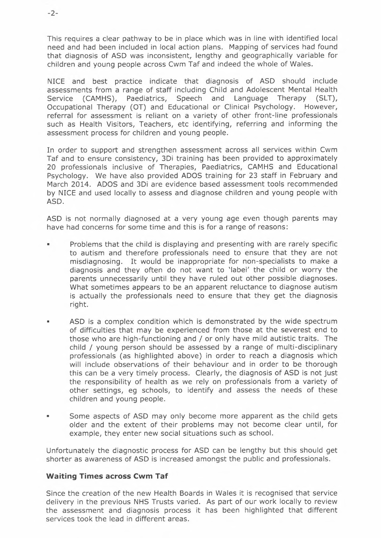This requires a clear pathway to be in place which was in line with identified local need and had been included in local action plans. Mapping of services had found that diagnosis of ASO was inconsistent, lengthy and geographically variable for children and young people across Cwm Taf and indeed the whole of Wales.

NICE and best practice indicate that diagnosis of ASO should include assessments from a range of staff including Child and Adolescent Mental Health Service (CAMHS), Paediatrics, Speech and Language Therapy (SLT), Occupational Therapy (OT) and Educational or Clinical Psychology. However, referral for assessment is reliant on a variety of other front-line professionals such as Health Visitors, Teachers, etc identifying, referring and informing the assessment process for children and young people.

In order to support and strengthen assessment across all services within Cwm Taf and to ensure consistency, 30i training has been provided to approximately 20 professionals inclusive of Therapies, Paediatrics, CAMHS and Educational Psychology. We have also provided ADOS training for 23 staff in February and March 2014. ADOS and 30i are evidence based assessment tools recommended by NICE and used locally to assess and diagnose children and young people with ASO.

ASO is not normally diagnosed at a very young age even though parents may have had concerns for some time and this is for a range of reasons:

- Problems that the child is displaying and presenting with are rarely specific to autism and therefore professionals need to ensure that they are not misdiagnosing. It would be inappropriate for non-specialists to make a diagnosis and they often do not want to 'label' the child or worry the parents unnecessarily until they have ruled out other possible diagnoses. What sometimes appears to be an apparent reluctance to diagnose autism is actually the professionals need to ensure that they get the diagnosis right.
- ASD is a complex condition which is demonstrated by the wide spectrum of difficulties that may be experienced from those at the severest end to those who are high-functioning and / or only have mild autistic traits. The child / young person should be assessed by a range of multi-disciplinary professionals (as highlighted above) in order to reach a diagnosis which will include observations of their behaviour and in order to be thorough this can be a very timely process. Clearly, the diagnosis of ASO is not just the responsibility of health as we rely on professionals from a variety of other settings, eg schools, to identify and assess the needs of these children and young people.
- Some aspects of ASO may only become more apparent as the child gets older and the extent of their problems may not become clear until, for example, they enter new social situations such as school.

Unfortunately the diagnostic process for ASO can be lengthy but this should get shorter as awareness of ASO is increased amongst the public and professionals.

## **Waiting Times across Cwm** *Tat*

Since the creation of the new Health Boards in Wales it is recognised that service delivery in the previous NHS Trusts varied. As part of our work locally to review the assessment and diagnosis process it has been highlighted that different services took the lead in different areas.

-2-